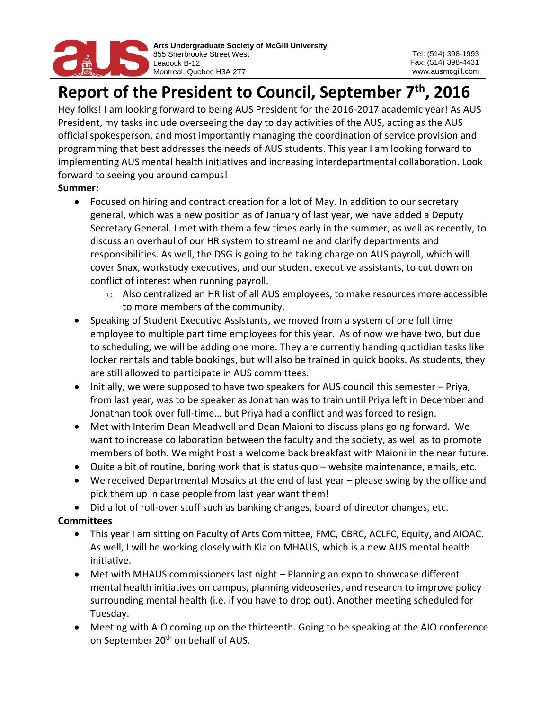

# **Report of the President to Council, September 7th, 2016**

Hey folks! I am looking forward to being AUS President for the 2016-2017 academic year! As AUS President, my tasks include overseeing the day to day activities of the AUS, acting as the AUS official spokesperson, and most importantly managing the coordination of service provision and programming that best addresses the needs of AUS students. This year I am looking forward to implementing AUS mental health initiatives and increasing interdepartmental collaboration. Look forward to seeing you around campus!

## **Summer:**

- Focused on hiring and contract creation for a lot of May. In addition to our secretary general, which was a new position as of January of last year, we have added a Deputy Secretary General. I met with them a few times early in the summer, as well as recently, to discuss an overhaul of our HR system to streamline and clarify departments and responsibilities. As well, the DSG is going to be taking charge on AUS payroll, which will cover Snax, workstudy executives, and our student executive assistants, to cut down on conflict of interest when running payroll.
	- o Also centralized an HR list of all AUS employees, to make resources more accessible to more members of the community.
- Speaking of Student Executive Assistants, we moved from a system of one full time employee to multiple part time employees for this year. As of now we have two, but due to scheduling, we will be adding one more. They are currently handing quotidian tasks like locker rentals and table bookings, but will also be trained in quick books. As students, they are still allowed to participate in AUS committees.
- Initially, we were supposed to have two speakers for AUS council this semester Priya, from last year, was to be speaker as Jonathan was to train until Priya left in December and Jonathan took over full-time… but Priya had a conflict and was forced to resign.
- Met with Interim Dean Meadwell and Dean Maioni to discuss plans going forward. We want to increase collaboration between the faculty and the society, as well as to promote members of both. We might host a welcome back breakfast with Maioni in the near future.
- Quite a bit of routine, boring work that is status quo website maintenance, emails, etc.
- We received Departmental Mosaics at the end of last year please swing by the office and pick them up in case people from last year want them!
- Did a lot of roll-over stuff such as banking changes, board of director changes, etc.

## **Committees**

- This year I am sitting on Faculty of Arts Committee, FMC, CBRC, ACLFC, Equity, and AIOAC. As well, I will be working closely with Kia on MHAUS, which is a new AUS mental health initiative.
- Met with MHAUS commissioners last night Planning an expo to showcase different mental health initiatives on campus, planning videoseries, and research to improve policy surrounding mental health (i.e. if you have to drop out). Another meeting scheduled for Tuesday.
- Meeting with AIO coming up on the thirteenth. Going to be speaking at the AIO conference on September 20<sup>th</sup> on behalf of AUS.